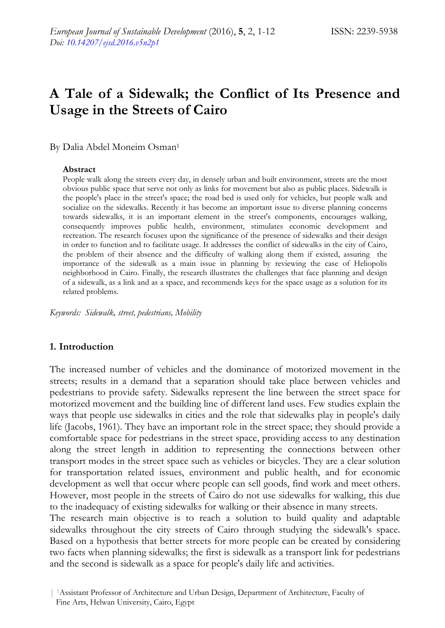# **A Tale of a Sidewalk; the Conflict of Its Presence and Usage in the Streets of Cairo**

By Dalia Abdel Moneim Osman<sup>1</sup>

### **Abstract**

People walk along the streets every day, in densely urban and built environment, streets are the most obvious public space that serve not only as links for movement but also as public places. Sidewalk is the people's place in the street's space; the road bed is used only for vehicles, but people walk and socialize on the sidewalks. Recently it has become an important issue to diverse planning concerns towards sidewalks, it is an important element in the street's components, encourages walking, consequently improves public health, environment, stimulates economic development and recreation. The research focuses upon the significance of the presence of sidewalks and their design in order to function and to facilitate usage. It addresses the conflict of sidewalks in the city of Cairo, the problem of their absence and the difficulty of walking along them if existed, assuring the importance of the sidewalk as a main issue in planning by reviewing the case of Heliopolis neighborhood in Cairo. Finally, the research illustrates the challenges that face planning and design of a sidewalk, as a link and as a space, and recommends keys for the space usage as a solution for its related problems.

*Keywords: Sidewalk, street, pedestrians, Mobility* 

# **1. Introduction**

The increased number of vehicles and the dominance of motorized movement in the streets; results in a demand that a separation should take place between vehicles and pedestrians to provide safety. Sidewalks represent the line between the street space for motorized movement and the building line of different land uses. Few studies explain the ways that people use sidewalks in cities and the role that sidewalks play in people's daily life (Jacobs, 1961). They have an important role in the street space; they should provide a comfortable space for pedestrians in the street space, providing access to any destination along the street length in addition to representing the connections between other transport modes in the street space such as vehicles or bicycles. They are a clear solution for transportation related issues, environment and public health, and for economic development as well that occur where people can sell goods, find work and meet others. However, most people in the streets of Cairo do not use sidewalks for walking, this due to the inadequacy of existing sidewalks for walking or their absence in many streets.

The research main objective is to reach a solution to build quality and adaptable sidewalks throughout the city streets of Cairo through studying the sidewalk's space. Based on a hypothesis that better streets for more people can be created by considering two facts when planning sidewalks; the first is sidewalk as a transport link for pedestrians and the second is sidewalk as a space for people's daily life and activities.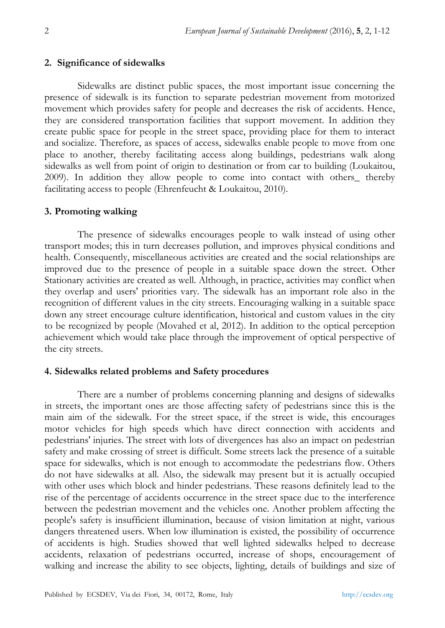# **2. Significance of sidewalks**

Sidewalks are distinct public spaces, the most important issue concerning the presence of sidewalk is its function to separate pedestrian movement from motorized movement which provides safety for people and decreases the risk of accidents. Hence, they are considered transportation facilities that support movement. In addition they create public space for people in the street space, providing place for them to interact and socialize. Therefore, as spaces of access, sidewalks enable people to move from one place to another, thereby facilitating access along buildings, pedestrians walk along sidewalks as well from point of origin to destination or from car to building (Loukaitou, 2009). In addition they allow people to come into contact with others\_ thereby facilitating access to people (Ehrenfeucht & Loukaitou, 2010).

# **3. Promoting walking**

The presence of sidewalks encourages people to walk instead of using other transport modes; this in turn decreases pollution, and improves physical conditions and health. Consequently, miscellaneous activities are created and the social relationships are improved due to the presence of people in a suitable space down the street. Other Stationary activities are created as well. Although, in practice, activities may conflict when they overlap and users' priorities vary. The sidewalk has an important role also in the recognition of different values in the city streets. Encouraging walking in a suitable space down any street encourage culture identification, historical and custom values in the city to be recognized by people (Movahed et al, 2012). In addition to the optical perception achievement which would take place through the improvement of optical perspective of the city streets.

# **4. Sidewalks related problems and Safety procedures**

There are a number of problems concerning planning and designs of sidewalks in streets, the important ones are those affecting safety of pedestrians since this is the main aim of the sidewalk. For the street space, if the street is wide, this encourages motor vehicles for high speeds which have direct connection with accidents and pedestrians' injuries. The street with lots of divergences has also an impact on pedestrian safety and make crossing of street is difficult. Some streets lack the presence of a suitable space for sidewalks, which is not enough to accommodate the pedestrians flow. Others do not have sidewalks at all. Also, the sidewalk may present but it is actually occupied with other uses which block and hinder pedestrians. These reasons definitely lead to the rise of the percentage of accidents occurrence in the street space due to the interference between the pedestrian movement and the vehicles one. Another problem affecting the people's safety is insufficient illumination, because of vision limitation at night, various dangers threatened users. When low illumination is existed, the possibility of occurrence of accidents is high. Studies showed that well lighted sidewalks helped to decrease accidents, relaxation of pedestrians occurred, increase of shops, encouragement of walking and increase the ability to see objects, lighting, details of buildings and size of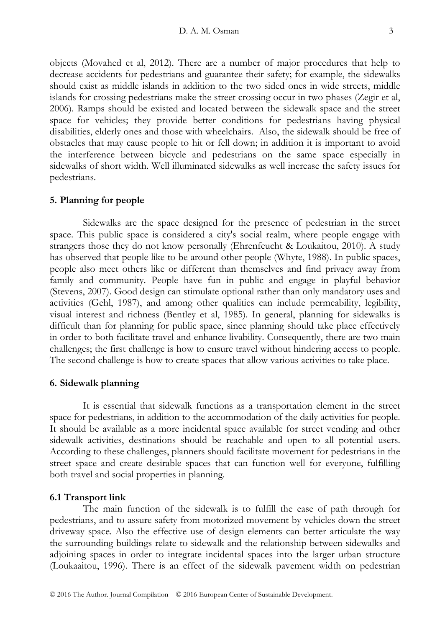objects (Movahed et al, 2012). There are a number of major procedures that help to decrease accidents for pedestrians and guarantee their safety; for example, the sidewalks should exist as middle islands in addition to the two sided ones in wide streets, middle islands for crossing pedestrians make the street crossing occur in two phases (Zegir et al, 2006). Ramps should be existed and located between the sidewalk space and the street space for vehicles; they provide better conditions for pedestrians having physical disabilities, elderly ones and those with wheelchairs. Also, the sidewalk should be free of obstacles that may cause people to hit or fell down; in addition it is important to avoid the interference between bicycle and pedestrians on the same space especially in sidewalks of short width. Well illuminated sidewalks as well increase the safety issues for pedestrians.

### **5. Planning for people**

Sidewalks are the space designed for the presence of pedestrian in the street space. This public space is considered a city's social realm, where people engage with strangers those they do not know personally (Ehrenfeucht & Loukaitou, 2010). A study has observed that people like to be around other people (Whyte, 1988). In public spaces, people also meet others like or different than themselves and find privacy away from family and community. People have fun in public and engage in playful behavior (Stevens, 2007). Good design can stimulate optional rather than only mandatory uses and activities (Gehl, 1987), and among other qualities can include permeability, legibility, visual interest and richness (Bentley et al, 1985). In general, planning for sidewalks is difficult than for planning for public space, since planning should take place effectively in order to both facilitate travel and enhance livability. Consequently, there are two main challenges; the first challenge is how to ensure travel without hindering access to people. The second challenge is how to create spaces that allow various activities to take place.

### **6. Sidewalk planning**

It is essential that sidewalk functions as a transportation element in the street space for pedestrians, in addition to the accommodation of the daily activities for people. It should be available as a more incidental space available for street vending and other sidewalk activities, destinations should be reachable and open to all potential users. According to these challenges, planners should facilitate movement for pedestrians in the street space and create desirable spaces that can function well for everyone, fulfilling both travel and social properties in planning.

### **6.1 Transport link**

The main function of the sidewalk is to fulfill the ease of path through for pedestrians, and to assure safety from motorized movement by vehicles down the street driveway space. Also the effective use of design elements can better articulate the way the surrounding buildings relate to sidewalk and the relationship between sidewalks and adjoining spaces in order to integrate incidental spaces into the larger urban structure (Loukaaitou, 1996). There is an effect of the sidewalk pavement width on pedestrian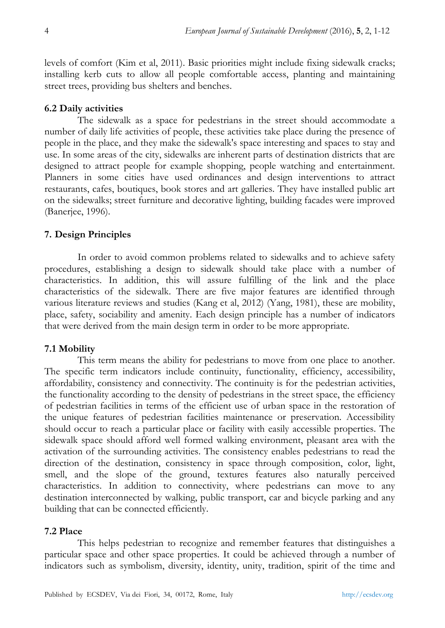levels of comfort (Kim et al, 2011). Basic priorities might include fixing sidewalk cracks; installing kerb cuts to allow all people comfortable access, planting and maintaining street trees, providing bus shelters and benches.

# **6.2 Daily activities**

The sidewalk as a space for pedestrians in the street should accommodate a number of daily life activities of people, these activities take place during the presence of people in the place, and they make the sidewalk's space interesting and spaces to stay and use. In some areas of the city, sidewalks are inherent parts of destination districts that are designed to attract people for example shopping, people watching and entertainment. Planners in some cities have used ordinances and design interventions to attract restaurants, cafes, boutiques, book stores and art galleries. They have installed public art on the sidewalks; street furniture and decorative lighting, building facades were improved (Banerjee, 1996).

# **7. Design Principles**

In order to avoid common problems related to sidewalks and to achieve safety procedures, establishing a design to sidewalk should take place with a number of characteristics. In addition, this will assure fulfilling of the link and the place characteristics of the sidewalk. There are five major features are identified through various literature reviews and studies (Kang et al, 2012) (Yang, 1981), these are mobility, place, safety, sociability and amenity. Each design principle has a number of indicators that were derived from the main design term in order to be more appropriate.

# **7.1 Mobility**

This term means the ability for pedestrians to move from one place to another. The specific term indicators include continuity, functionality, efficiency, accessibility, affordability, consistency and connectivity. The continuity is for the pedestrian activities, the functionality according to the density of pedestrians in the street space, the efficiency of pedestrian facilities in terms of the efficient use of urban space in the restoration of the unique features of pedestrian facilities maintenance or preservation. Accessibility should occur to reach a particular place or facility with easily accessible properties. The sidewalk space should afford well formed walking environment, pleasant area with the activation of the surrounding activities. The consistency enables pedestrians to read the direction of the destination, consistency in space through composition, color, light, smell, and the slope of the ground, textures features also naturally perceived characteristics. In addition to connectivity, where pedestrians can move to any destination interconnected by walking, public transport, car and bicycle parking and any building that can be connected efficiently.

# **7.2 Place**

This helps pedestrian to recognize and remember features that distinguishes a particular space and other space properties. It could be achieved through a number of indicators such as symbolism, diversity, identity, unity, tradition, spirit of the time and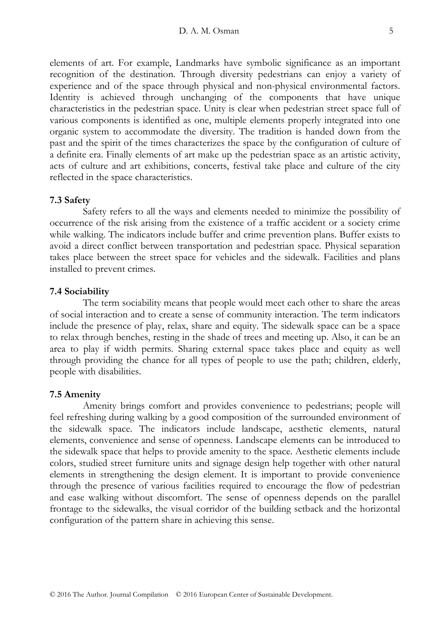elements of art. For example, Landmarks have symbolic significance as an important recognition of the destination. Through diversity pedestrians can enjoy a variety of experience and of the space through physical and non-physical environmental factors. Identity is achieved through unchanging of the components that have unique characteristics in the pedestrian space. Unity is clear when pedestrian street space full of various components is identified as one, multiple elements properly integrated into one organic system to accommodate the diversity. The tradition is handed down from the past and the spirit of the times characterizes the space by the configuration of culture of a definite era. Finally elements of art make up the pedestrian space as an artistic activity, acts of culture and art exhibitions, concerts, festival take place and culture of the city reflected in the space characteristics.

### **7.3 Safety**

Safety refers to all the ways and elements needed to minimize the possibility of occurrence of the risk arising from the existence of a traffic accident or a society crime while walking. The indicators include buffer and crime prevention plans. Buffer exists to avoid a direct conflict between transportation and pedestrian space. Physical separation takes place between the street space for vehicles and the sidewalk. Facilities and plans installed to prevent crimes.

### **7.4 Sociability**

The term sociability means that people would meet each other to share the areas of social interaction and to create a sense of community interaction. The term indicators include the presence of play, relax, share and equity. The sidewalk space can be a space to relax through benches, resting in the shade of trees and meeting up. Also, it can be an area to play if width permits. Sharing external space takes place and equity as well through providing the chance for all types of people to use the path; children, elderly, people with disabilities.

#### **7.5 Amenity**

Amenity brings comfort and provides convenience to pedestrians; people will feel refreshing during walking by a good composition of the surrounded environment of the sidewalk space. The indicators include landscape, aesthetic elements, natural elements, convenience and sense of openness. Landscape elements can be introduced to the sidewalk space that helps to provide amenity to the space. Aesthetic elements include colors, studied street furniture units and signage design help together with other natural elements in strengthening the design element. It is important to provide convenience through the presence of various facilities required to encourage the flow of pedestrian and ease walking without discomfort. The sense of openness depends on the parallel frontage to the sidewalks, the visual corridor of the building setback and the horizontal configuration of the pattern share in achieving this sense.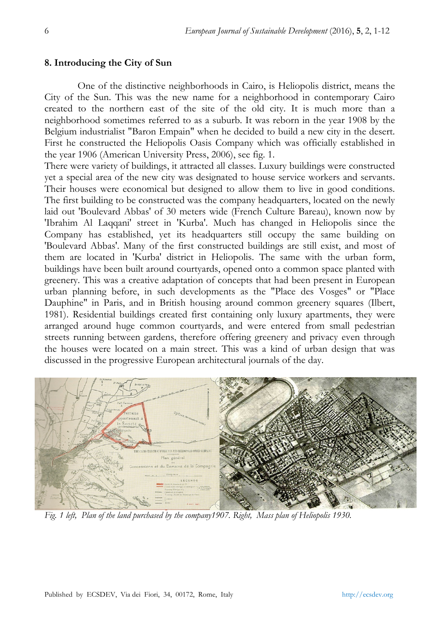### **8. Introducing the City of Sun**

One of the distinctive neighborhoods in Cairo, is Heliopolis district, means the City of the Sun. This was the new name for a neighborhood in contemporary Cairo created to the northern east of the site of the old city. It is much more than a neighborhood sometimes referred to as a suburb. It was reborn in the year 1908 by the Belgium industrialist "Baron Empain" when he decided to build a new city in the desert. First he constructed the Heliopolis Oasis Company which was officially established in the year 1906 (American University Press, 2006), see fig. 1.

There were variety of buildings, it attracted all classes. Luxury buildings were constructed yet a special area of the new city was designated to house service workers and servants. Their houses were economical but designed to allow them to live in good conditions. The first building to be constructed was the company headquarters, located on the newly laid out 'Boulevard Abbas' of 30 meters wide (French Culture Bareau), known now by 'Ibrahim Al Laqqani' street in 'Kurba'. Much has changed in Heliopolis since the Company has established, yet its headquarters still occupy the same building on 'Boulevard Abbas'. Many of the first constructed buildings are still exist, and most of them are located in 'Kurba' district in Heliopolis. The same with the urban form, buildings have been built around courtyards, opened onto a common space planted with greenery. This was a creative adaptation of concepts that had been present in European urban planning before, in such developments as the "Place des Vosges" or "Place Dauphine" in Paris, and in British housing around common greenery squares (Ilbert, 1981). Residential buildings created first containing only luxury apartments, they were arranged around huge common courtyards, and were entered from small pedestrian streets running between gardens, therefore offering greenery and privacy even through the houses were located on a main street. This was a kind of urban design that was discussed in the progressive European architectural journals of the day.



*Fig. 1 left, Plan of the land purchased by the company1907. Right, Mass plan of Heliopolis 1930.*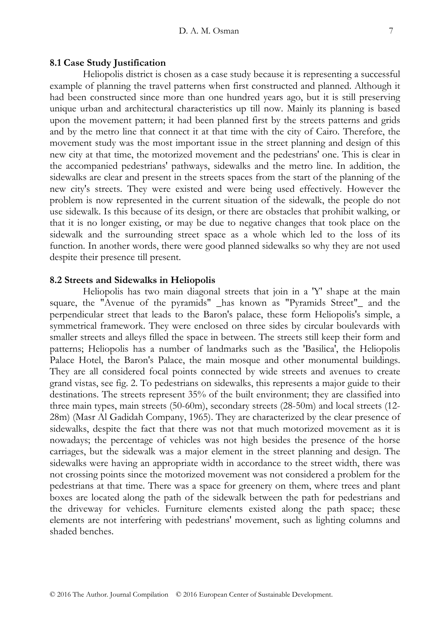#### **8.1 Case Study Justification**

Heliopolis district is chosen as a case study because it is representing a successful example of planning the travel patterns when first constructed and planned. Although it had been constructed since more than one hundred years ago, but it is still preserving unique urban and architectural characteristics up till now. Mainly its planning is based upon the movement pattern; it had been planned first by the streets patterns and grids and by the metro line that connect it at that time with the city of Cairo. Therefore, the movement study was the most important issue in the street planning and design of this new city at that time, the motorized movement and the pedestrians' one. This is clear in the accompanied pedestrians' pathways, sidewalks and the metro line. In addition, the sidewalks are clear and present in the streets spaces from the start of the planning of the new city's streets. They were existed and were being used effectively. However the problem is now represented in the current situation of the sidewalk, the people do not use sidewalk. Is this because of its design, or there are obstacles that prohibit walking, or that it is no longer existing, or may be due to negative changes that took place on the sidewalk and the surrounding street space as a whole which led to the loss of its function. In another words, there were good planned sidewalks so why they are not used despite their presence till present.

#### **8.2 Streets and Sidewalks in Heliopolis**

Heliopolis has two main diagonal streets that join in a 'Y' shape at the main square, the "Avenue of the pyramids" \_has known as "Pyramids Street"\_ and the perpendicular street that leads to the Baron's palace, these form Heliopolis's simple, a symmetrical framework. They were enclosed on three sides by circular boulevards with smaller streets and alleys filled the space in between. The streets still keep their form and patterns; Heliopolis has a number of landmarks such as the 'Basilica', the Heliopolis Palace Hotel, the Baron's Palace, the main mosque and other monumental buildings. They are all considered focal points connected by wide streets and avenues to create grand vistas, see fig. 2. To pedestrians on sidewalks, this represents a major guide to their destinations. The streets represent 35% of the built environment; they are classified into three main types, main streets (50-60m), secondary streets (28-50m) and local streets (12- 28m) (Masr Al Gadidah Company, 1965). They are characterized by the clear presence of sidewalks, despite the fact that there was not that much motorized movement as it is nowadays; the percentage of vehicles was not high besides the presence of the horse carriages, but the sidewalk was a major element in the street planning and design. The sidewalks were having an appropriate width in accordance to the street width, there was not crossing points since the motorized movement was not considered a problem for the pedestrians at that time. There was a space for greenery on them, where trees and plant boxes are located along the path of the sidewalk between the path for pedestrians and the driveway for vehicles. Furniture elements existed along the path space; these elements are not interfering with pedestrians' movement, such as lighting columns and shaded benches.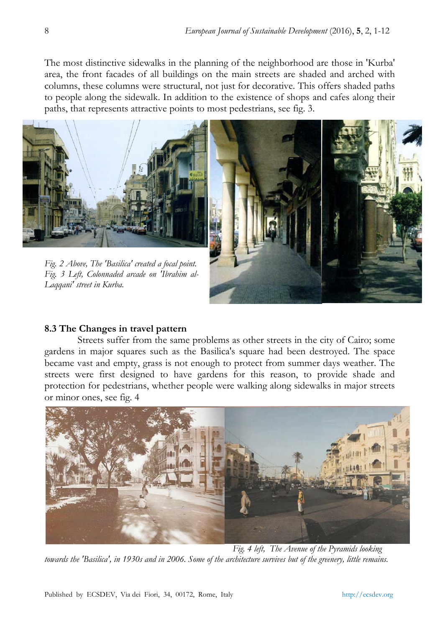The most distinctive sidewalks in the planning of the neighborhood are those in 'Kurba' area, the front facades of all buildings on the main streets are shaded and arched with columns, these columns were structural, not just for decorative. This offers shaded paths to people along the sidewalk. In addition to the existence of shops and cafes along their paths, that represents attractive points to most pedestrians, see fig. 3.



# **8.3 The Changes in travel pattern**

Streets suffer from the same problems as other streets in the city of Cairo; some gardens in major squares such as the Basilica's square had been destroyed. The space became vast and empty, grass is not enough to protect from summer days weather. The streets were first designed to have gardens for this reason, to provide shade and protection for pedestrians, whether people were walking along sidewalks in major streets or minor ones, see fig. 4



*Fig. 4 left, The Avenue of the Pyramids looking towards the 'Basilica', in 1930s and in 2006. Some of the architecture survives but of the greenery, little remains.*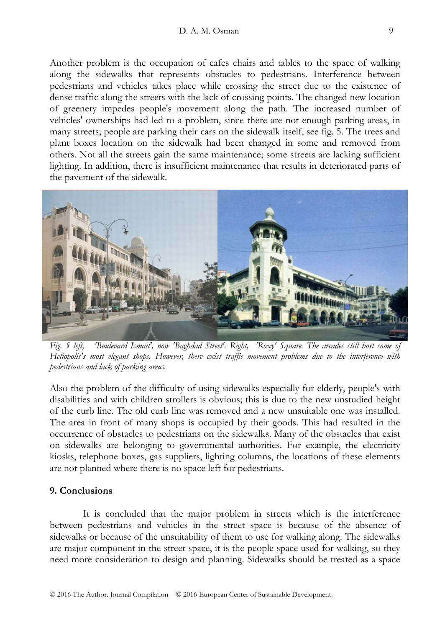Another problem is the occupation of cafes chairs and tables to the space of walking along the sidewalks that represents obstacles to pedestrians. Interference between pedestrians and vehicles takes place while crossing the street due to the existence of dense traffic along the streets with the lack of crossing points. The changed new location of greenery impedes people's movement along the path. The increased number of vehicles' ownerships had led to a problem, since there are not enough parking areas, in many streets; people are parking their cars on the sidewalk itself, see fig. 5. The trees and plant boxes location on the sidewalk had been changed in some and removed from others. Not all the streets gain the same maintenance; some streets are lacking sufficient lighting. In addition, there is insufficient maintenance that results in deteriorated parts of the pavement of the sidewalk.



*Fig. 5 left, 'Boulevard Ismail', now 'Baghdad Street'. Right, 'Roxy' Square. The arcades still host some of Heliopolis's most elegant shops. However, there exist traffic movement problems due to the interference with pedestrians and lack of parking areas.* 

Also the problem of the difficulty of using sidewalks especially for elderly, people's with disabilities and with children strollers is obvious; this is due to the new unstudied height of the curb line. The old curb line was removed and a new unsuitable one was installed. The area in front of many shops is occupied by their goods. This had resulted in the occurrence of obstacles to pedestrians on the sidewalks. Many of the obstacles that exist on sidewalks are belonging to governmental authorities. For example, the electricity kiosks, telephone boxes, gas suppliers, lighting columns, the locations of these elements are not planned where there is no space left for pedestrians.

# **9. Conclusions**

It is concluded that the major problem in streets which is the interference between pedestrians and vehicles in the street space is because of the absence of sidewalks or because of the unsuitability of them to use for walking along. The sidewalks are major component in the street space, it is the people space used for walking, so they need more consideration to design and planning. Sidewalks should be treated as a space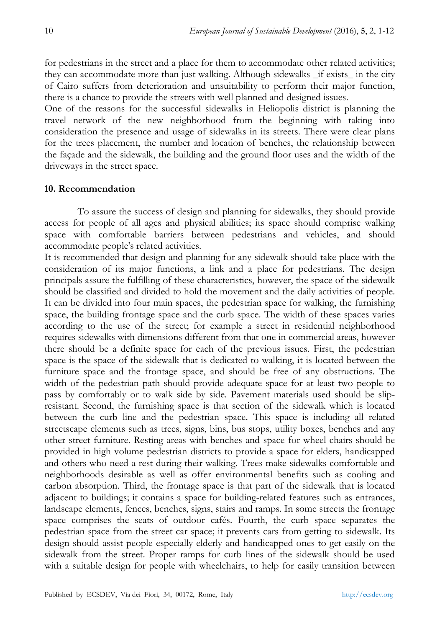for pedestrians in the street and a place for them to accommodate other related activities; they can accommodate more than just walking. Although sidewalks \_if exists\_ in the city of Cairo suffers from deterioration and unsuitability to perform their major function, there is a chance to provide the streets with well planned and designed issues.

One of the reasons for the successful sidewalks in Heliopolis district is planning the travel network of the new neighborhood from the beginning with taking into consideration the presence and usage of sidewalks in its streets. There were clear plans for the trees placement, the number and location of benches, the relationship between the façade and the sidewalk, the building and the ground floor uses and the width of the driveways in the street space.

# **10. Recommendation**

To assure the success of design and planning for sidewalks, they should provide access for people of all ages and physical abilities; its space should comprise walking space with comfortable barriers between pedestrians and vehicles, and should accommodate people's related activities.

It is recommended that design and planning for any sidewalk should take place with the consideration of its major functions, a link and a place for pedestrians. The design principals assure the fulfilling of these characteristics, however, the space of the sidewalk should be classified and divided to hold the movement and the daily activities of people. It can be divided into four main spaces, the pedestrian space for walking, the furnishing space, the building frontage space and the curb space. The width of these spaces varies according to the use of the street; for example a street in residential neighborhood requires sidewalks with dimensions different from that one in commercial areas, however there should be a definite space for each of the previous issues. First, the pedestrian space is the space of the sidewalk that is dedicated to walking, it is located between the furniture space and the frontage space, and should be free of any obstructions. The width of the pedestrian path should provide adequate space for at least two people to pass by comfortably or to walk side by side. Pavement materials used should be slipresistant. Second, the furnishing space is that section of the sidewalk which is located between the curb line and the pedestrian space. This space is including all related streetscape elements such as trees, signs, bins, bus stops, utility boxes, benches and any other street furniture. Resting areas with benches and space for wheel chairs should be provided in high volume pedestrian districts to provide a space for elders, handicapped and others who need a rest during their walking. Trees make sidewalks comfortable and neighborhoods desirable as well as offer environmental benefits such as cooling and carbon absorption. Third, the frontage space is that part of the sidewalk that is located adjacent to buildings; it contains a space for building-related features such as entrances, landscape elements, fences, benches, signs, stairs and ramps. In some streets the frontage space comprises the seats of outdoor cafés. Fourth, the curb space separates the pedestrian space from the street car space; it prevents cars from getting to sidewalk. Its design should assist people especially elderly and handicapped ones to get easily on the sidewalk from the street. Proper ramps for curb lines of the sidewalk should be used with a suitable design for people with wheelchairs, to help for easily transition between